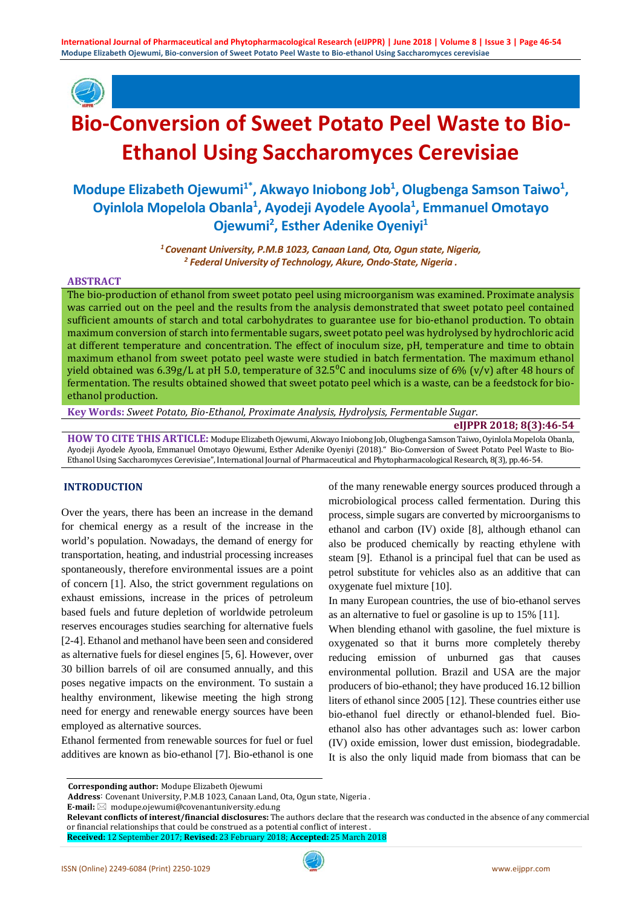

# **Bio-Conversion of Sweet Potato Peel Waste to Bio-Ethanol Using Saccharomyces Cerevisiae**

## Modupe Elizabeth Ojewumi<sup>1\*</sup>, Akwayo Iniobong Job<sup>1</sup>, Olugbenga Samson Taiwo<sup>1</sup>, **Oyinlola Mopelola Obanla1 , Ayodeji Ayodele Ayoola1 , Emmanuel Omotayo Ojewumi<sup>2</sup>, Esther Adenike Oyeniyi<sup>1</sup>**

*1 Covenant University, P.M.B 1023, Canaan Land, Ota, Ogun state, Nigeria, <sup>2</sup> Federal University of Technology, Akure, Ondo-State, Nigeria .*

#### **ABSTRACT**

The bio-production of ethanol from sweet potato peel using microorganism was examined. Proximate analysis was carried out on the peel and the results from the analysis demonstrated that sweet potato peel contained sufficient amounts of starch and total carbohydrates to guarantee use for bio-ethanol production. To obtain maximum conversion of starch into fermentable sugars, sweet potato peel was hydrolysed by hydrochloric acid at different temperature and concentration. The effect of inoculum size, pH, temperature and time to obtain maximum ethanol from sweet potato peel waste were studied in batch fermentation. The maximum ethanol yield obtained was 6.39g/L at pH 5.0, temperature of 32.5<sup>o</sup>C and inoculums size of 6% (v/v) after 48 hours of fermentation. The results obtained showed that sweet potato peel which is a waste, can be a feedstock for bioethanol production.

**Key Words:** *Sweet Potato, Bio-Ethanol, Proximate Analysis, Hydrolysis, Fermentable Sugar*.

#### **eIJPPR 2018; 8(3):46-54**

**HOW TO CITE THIS ARTICLE:** Modupe Elizabeth Ojewumi, Akwayo Iniobong Job, Olugbenga Samson Taiwo, Oyinlola Mopelola Obanla, Ayodeji Ayodele Ayoola, Emmanuel Omotayo Ojewumi, Esther Adenike Oyeniyi (2018)." Bio-Conversion of Sweet Potato Peel Waste to Bio-Ethanol Using Saccharomyces Cerevisiae", International Journal of Pharmaceutical and Phytopharmacological Research, 8(3), pp.46-54.

## **INTRODUCTION**

Over the years, there has been an increase in the demand for chemical energy as a result of the increase in the world's population. Nowadays, the demand of energy for transportation, heating, and industrial processing increases spontaneously, therefore environmental issues are a point of concern [1]. Also, the strict government regulations on exhaust emissions, increase in the prices of petroleum based fuels and future depletion of worldwide petroleum reserves encourages studies searching for alternative fuels [2-4]. Ethanol and methanol have been seen and considered as alternative fuels for diesel engines [5, 6]. However, over 30 billion barrels of oil are consumed annually, and this poses negative impacts on the environment. To sustain a healthy environment, likewise meeting the high strong need for energy and renewable energy sources have been employed as alternative sources.

Ethanol fermented from renewable sources for fuel or fuel additives are known as bio-ethanol [7]. Bio-ethanol is one of the many renewable energy sources produced through a microbiological process called fermentation. During this process, simple sugars are converted by microorganisms to ethanol and carbon (IV) oxide [8], although ethanol can also be produced chemically by reacting ethylene with steam [9]. Ethanol is a principal fuel that can be used as petrol substitute for vehicles also as an additive that can oxygenate fuel mixture [10].

In many European countries, the use of bio-ethanol serves as an alternative to fuel or gasoline is up to 15% [11].

When blending ethanol with gasoline, the fuel mixture is oxygenated so that it burns more completely thereby reducing emission of unburned gas that causes environmental pollution. Brazil and USA are the major producers of bio-ethanol; they have produced 16.12 billion liters of ethanol since 2005 [12]. These countries either use bio-ethanol fuel directly or ethanol-blended fuel. Bioethanol also has other advantages such as: lower carbon (IV) oxide emission, lower dust emission, biodegradable. It is also the only liquid made from biomass that can be

**E-mail:** modupe.ojewumi@covenantuniversity.edu.ng

**Corresponding author:** Modupe Elizabeth Ojewumi

**Address**: Covenant University, P.M.B 1023, Canaan Land, Ota, Ogun state, Nigeria .

**Relevant conflicts of interest/financial disclosures:** The authors declare that the research was conducted in the absence of any commercial or financial relationships that could be construed as a potential conflict of interest . **Received:** 12 September 2017; **Revised:** 23 February 2018; **Accepted:** 25 March 2018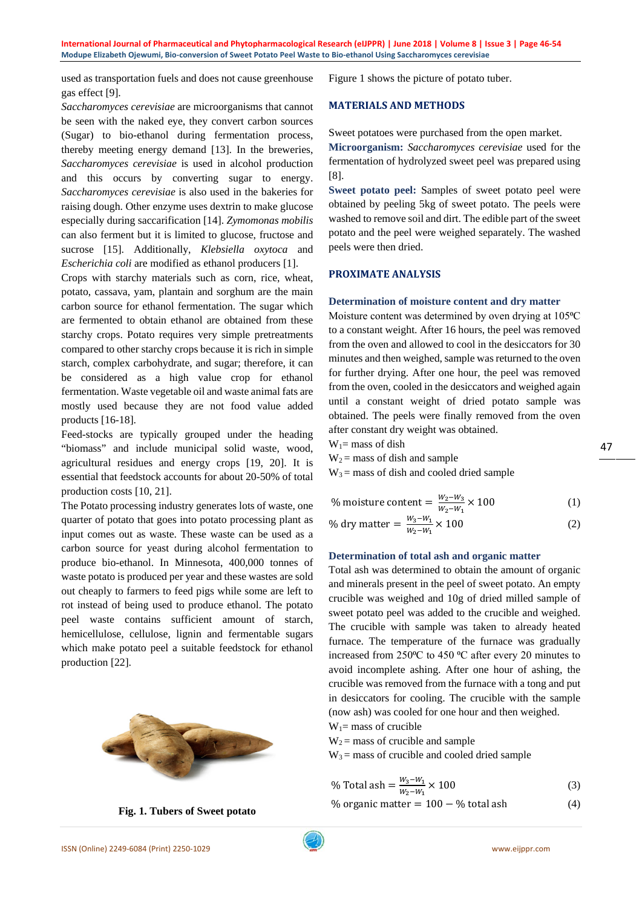used as transportation fuels and does not cause greenhouse gas effect [9].

*Saccharomyces cerevisiae* are microorganisms that cannot be seen with the naked eye, they convert carbon sources (Sugar) to bio-ethanol during fermentation process, thereby meeting energy demand [13]. In the breweries, *Saccharomyces cerevisiae* is used in alcohol production and this occurs by converting sugar to energy. *Saccharomyces cerevisiae* is also used in the bakeries for raising dough. Other enzyme uses dextrin to make glucose especially during saccarification [14]. *Zymomonas mobilis*  can also ferment but it is limited to glucose, fructose and sucrose [15]. Additionally, *Klebsiella oxytoca* and *Escherichia coli* are modified as ethanol producers [1].

Crops with starchy materials such as corn, rice, wheat, potato, cassava, yam, plantain and sorghum are the main carbon source for ethanol fermentation. The sugar which are fermented to obtain ethanol are obtained from these starchy crops. Potato requires very simple pretreatments compared to other starchy crops because it is rich in simple starch, complex carbohydrate, and sugar; therefore, it can be considered as a high value crop for ethanol fermentation. Waste vegetable oil and waste animal fats are mostly used because they are not food value added products [16-18].

Feed-stocks are typically grouped under the heading "biomass" and include municipal solid waste, wood, agricultural residues and energy crops [19, 20]. It is essential that feedstock accounts for about 20-50% of total production costs [10, 21].

The Potato processing industry generates lots of waste, one quarter of potato that goes into potato processing plant as input comes out as waste. These waste can be used as a carbon source for yeast during alcohol fermentation to produce bio-ethanol. In Minnesota, 400,000 tonnes of waste potato is produced per year and these wastes are sold out cheaply to farmers to feed pigs while some are left to rot instead of being used to produce ethanol. The potato peel waste contains sufficient amount of starch, hemicellulose, cellulose, lignin and fermentable sugars which make potato peel a suitable feedstock for ethanol production [22].



**Fig. 1. Tubers of Sweet potato**

Figure 1 shows the picture of potato tuber.

## **MATERIALS AND METHODS**

Sweet potatoes were purchased from the open market.

**Microorganism:** *Saccharomyces cerevisiae* used for the fermentation of hydrolyzed sweet peel was prepared using [8].

**Sweet potato peel:** Samples of sweet potato peel were obtained by peeling 5kg of sweet potato. The peels were washed to remove soil and dirt. The edible part of the sweet potato and the peel were weighed separately. The washed peels were then dried.

## **PROXIMATE ANALYSIS**

## **Determination of moisture content and dry matter**

Moisture content was determined by oven drying at 105<sup>o</sup>C to a constant weight. After 16 hours, the peel was removed from the oven and allowed to cool in the desiccators for 30 minutes and then weighed, sample was returned to the oven for further drying. After one hour, the peel was removed from the oven, cooled in the desiccators and weighed again until a constant weight of dried potato sample was obtained. The peels were finally removed from the oven after constant dry weight was obtained.

 $W_1$ = mass of dish

 $W_2$  = mass of dish and sample

 $W_3$  = mass of dish and cooled dried sample

% moisture content = 
$$
\frac{W_2 - W_3}{W_2 - W_1} \times 100
$$
 (1)

% dry matter = 
$$
\frac{W_3 - W_1}{W_2 - W_1} \times 100
$$
 (2)

## **Determination of total ash and organic matter**

Total ash was determined to obtain the amount of organic and minerals present in the peel of sweet potato. An empty crucible was weighed and 10g of dried milled sample of sweet potato peel was added to the crucible and weighed. The crucible with sample was taken to already heated furnace. The temperature of the furnace was gradually increased from  $250^{\circ}$ C to  $450^{\circ}$ C after every 20 minutes to avoid incomplete ashing. After one hour of ashing, the crucible was removed from the furnace with a tong and put in desiccators for cooling. The crucible with the sample (now ash) was cooled for one hour and then weighed.

 $W_1$ = mass of crucible

 $W_2$  = mass of crucible and sample

 $W_3$  = mass of crucible and cooled dried sample

% Total ash = 
$$
\frac{W_3 - W_1}{W_2 - W_1} \times 100
$$
 (3)

% organic matter =  $100 - %$  total ash (4)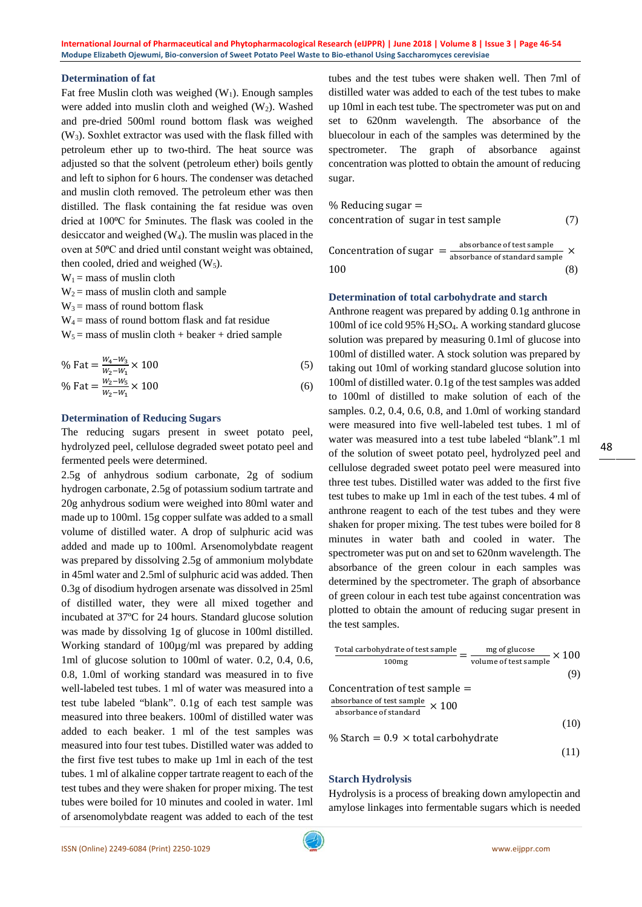## **Determination of fat**

Fat free Muslin cloth was weighed  $(W_1)$ . Enough samples were added into muslin cloth and weighed  $(W_2)$ . Washed and pre-dried 500ml round bottom flask was weighed (W3). Soxhlet extractor was used with the flask filled with petroleum ether up to two-third. The heat source was adjusted so that the solvent (petroleum ether) boils gently and left to siphon for 6 hours. The condenser was detached and muslin cloth removed. The petroleum ether was then distilled. The flask containing the fat residue was oven dried at 100⁰C for 5minutes. The flask was cooled in the desiccator and weighed  $(W_4)$ . The muslin was placed in the oven at 50°C and dried until constant weight was obtained, then cooled, dried and weighed  $(W_5)$ .

 $W_1$  = mass of muslin cloth

 $W_2$  = mass of muslin cloth and sample

 $W_3$  = mass of round bottom flask

 $W_4$  = mass of round bottom flask and fat residue

 $W_5$  = mass of muslin cloth + beaker + dried sample

% Fat = 
$$
\frac{W_4 - W_3}{W_2 - W_1} \times 100
$$
 (5)  
% Fat =  $\frac{W_2 - W_5}{W_2 - W_1} \times 100$  (6)

## **Determination of Reducing Sugars**

The reducing sugars present in sweet potato peel, hydrolyzed peel, cellulose degraded sweet potato peel and fermented peels were determined.

2.5g of anhydrous sodium carbonate, 2g of sodium hydrogen carbonate, 2.5g of potassium sodium tartrate and 20g anhydrous sodium were weighed into 80ml water and made up to 100ml. 15g copper sulfate was added to a small volume of distilled water. A drop of sulphuric acid was added and made up to 100ml. Arsenomolybdate reagent was prepared by dissolving 2.5g of ammonium molybdate in 45ml water and 2.5ml of sulphuric acid was added. Then 0.3g of disodium hydrogen arsenate was dissolved in 25ml of distilled water, they were all mixed together and incubated at 37ºC for 24 hours. Standard glucose solution was made by dissolving 1g of glucose in 100ml distilled. Working standard of 100µg/ml was prepared by adding 1ml of glucose solution to 100ml of water. 0.2, 0.4, 0.6, 0.8, 1.0ml of working standard was measured in to five well-labeled test tubes. 1 ml of water was measured into a test tube labeled "blank". 0.1g of each test sample was measured into three beakers. 100ml of distilled water was added to each beaker. 1 ml of the test samples was measured into four test tubes. Distilled water was added to the first five test tubes to make up 1ml in each of the test tubes. 1 ml of alkaline copper tartrate reagent to each of the test tubes and they were shaken for proper mixing. The test tubes were boiled for 10 minutes and cooled in water. 1ml of arsenomolybdate reagent was added to each of the test

tubes and the test tubes were shaken well. Then 7ml of distilled water was added to each of the test tubes to make up 10ml in each test tube. The spectrometer was put on and set to 620nm wavelength. The absorbance of the bluecolour in each of the samples was determined by the spectrometer. The graph of absorbance against concentration was plotted to obtain the amount of reducing sugar.

$$
\% Reducing sugar =
$$
\n
$$
concentration of sugar in test sample \tag{7}
$$

Concentration of sugar  $=\frac{absorbance}{absorbance}$  of test sample ×  $100$  (8)

## **Determination of total carbohydrate and starch**

Anthrone reagent was prepared by adding 0.1g anthrone in 100ml of ice cold 95%  $H<sub>2</sub>SO<sub>4</sub>$ . A working standard glucose solution was prepared by measuring 0.1ml of glucose into 100ml of distilled water. A stock solution was prepared by taking out 10ml of working standard glucose solution into 100ml of distilled water. 0.1g of the test samples was added to 100ml of distilled to make solution of each of the samples. 0.2, 0.4, 0.6, 0.8, and 1.0ml of working standard were measured into five well-labeled test tubes. 1 ml of water was measured into a test tube labeled "blank".1 ml of the solution of sweet potato peel, hydrolyzed peel and cellulose degraded sweet potato peel were measured into three test tubes. Distilled water was added to the first five test tubes to make up 1ml in each of the test tubes. 4 ml of anthrone reagent to each of the test tubes and they were shaken for proper mixing. The test tubes were boiled for 8 minutes in water bath and cooled in water. The spectrometer was put on and set to 620nm wavelength. The absorbance of the green colour in each samples was determined by the spectrometer. The graph of absorbance of green colour in each test tube against concentration was plotted to obtain the amount of reducing sugar present in the test samples.

$$
\frac{\text{Total carbohydrate of test sample}}{\text{100mg}} = \frac{\text{mg of glucose}}{\text{volume of test sample}} \times 100
$$
\n(9)\n\nConcentration of test sample =\n\n
$$
\frac{\text{absorbance of test sample}}{\text{absorbance of standard}} \times 100
$$
\n(10)

% Starch =  $0.9 \times$  total carbohydrate

## (11)

## **Starch Hydrolysis**

Hydrolysis is a process of breaking down amylopectin and amylose linkages into fermentable sugars which is needed 48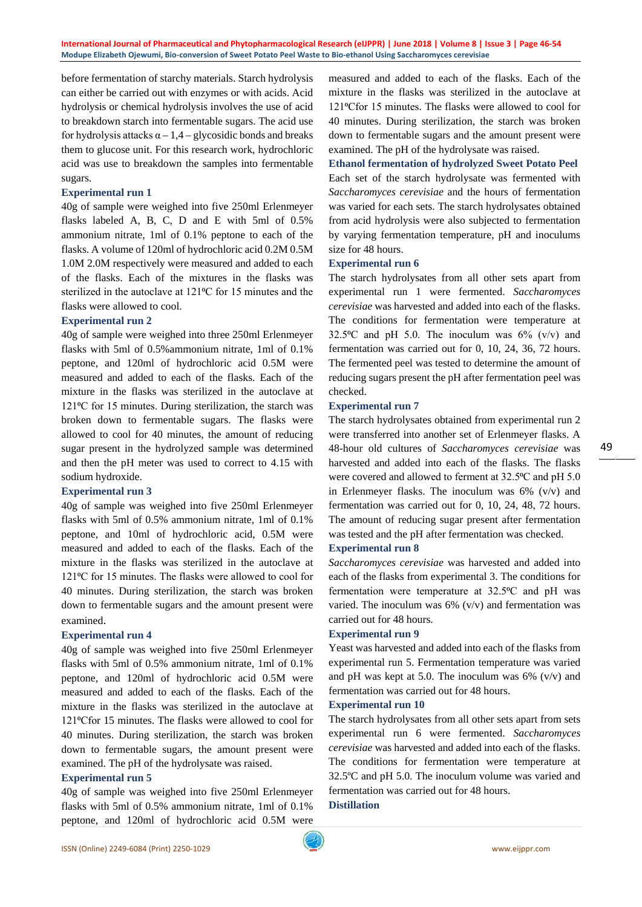**International Journal of Pharmaceutical and Phytopharmacological Research (eIJPPR) | June 2018 | Volume 8 | Issue 3 | Page 46-54 Modupe Elizabeth Ojewumi, Bio-conversion of Sweet Potato Peel Waste to Bio-ethanol Using Saccharomyces cerevisiae**

before fermentation of starchy materials. Starch hydrolysis can either be carried out with enzymes or with acids. Acid hydrolysis or chemical hydrolysis involves the use of acid to breakdown starch into fermentable sugars. The acid use for hydrolysis attacks  $\alpha - 1, 4$  – glycosidic bonds and breaks them to glucose unit. For this research work, hydrochloric acid was use to breakdown the samples into fermentable sugars.

## **Experimental run 1**

40g of sample were weighed into five 250ml Erlenmeyer flasks labeled A, B, C, D and E with 5ml of 0.5% ammonium nitrate, 1ml of 0.1% peptone to each of the flasks. A volume of 120ml of hydrochloric acid 0.2M 0.5M 1.0M 2.0M respectively were measured and added to each of the flasks. Each of the mixtures in the flasks was sterilized in the autoclave at 121<sup>o</sup>C for 15 minutes and the flasks were allowed to cool.

#### **Experimental run 2**

40g of sample were weighed into three 250ml Erlenmeyer flasks with 5ml of 0.5%ammonium nitrate, 1ml of 0.1% peptone, and 120ml of hydrochloric acid 0.5M were measured and added to each of the flasks. Each of the mixture in the flasks was sterilized in the autoclave at 121<sup>o</sup>C for 15 minutes. During sterilization, the starch was broken down to fermentable sugars. The flasks were allowed to cool for 40 minutes, the amount of reducing sugar present in the hydrolyzed sample was determined and then the pH meter was used to correct to 4.15 with sodium hydroxide.

#### **Experimental run 3**

40g of sample was weighed into five 250ml Erlenmeyer flasks with 5ml of 0.5% ammonium nitrate, 1ml of 0.1% peptone, and 10ml of hydrochloric acid, 0.5M were measured and added to each of the flasks. Each of the mixture in the flasks was sterilized in the autoclave at 121<sup>o</sup>C for 15 minutes. The flasks were allowed to cool for 40 minutes. During sterilization, the starch was broken down to fermentable sugars and the amount present were examined.

#### **Experimental run 4**

40g of sample was weighed into five 250ml Erlenmeyer flasks with 5ml of 0.5% ammonium nitrate, 1ml of 0.1% peptone, and 120ml of hydrochloric acid 0.5M were measured and added to each of the flasks. Each of the mixture in the flasks was sterilized in the autoclave at 121°Cfor 15 minutes. The flasks were allowed to cool for 40 minutes. During sterilization, the starch was broken down to fermentable sugars, the amount present were examined. The pH of the hydrolysate was raised.

## **Experimental run 5**

40g of sample was weighed into five 250ml Erlenmeyer flasks with 5ml of 0.5% ammonium nitrate, 1ml of 0.1% peptone, and 120ml of hydrochloric acid 0.5M were

measured and added to each of the flasks. Each of the mixture in the flasks was sterilized in the autoclave at 121<sup>o</sup>Cfor 15 minutes. The flasks were allowed to cool for 40 minutes. During sterilization, the starch was broken down to fermentable sugars and the amount present were examined. The pH of the hydrolysate was raised.

## **Ethanol fermentation of hydrolyzed Sweet Potato Peel**

Each set of the starch hydrolysate was fermented with *Saccharomyces cerevisiae* and the hours of fermentation was varied for each sets. The starch hydrolysates obtained from acid hydrolysis were also subjected to fermentation by varying fermentation temperature, pH and inoculums size for 48 hours.

## **Experimental run 6**

The starch hydrolysates from all other sets apart from experimental run 1 were fermented. *Saccharomyces cerevisiae* was harvested and added into each of the flasks. The conditions for fermentation were temperature at 32.5 $\degree$ C and pH 5.0. The inoculum was 6% (v/v) and fermentation was carried out for 0, 10, 24, 36, 72 hours. The fermented peel was tested to determine the amount of reducing sugars present the pH after fermentation peel was checked.

#### **Experimental run 7**

The starch hydrolysates obtained from experimental run 2 were transferred into another set of Erlenmeyer flasks. A 48-hour old cultures of *Saccharomyces cerevisiae* was harvested and added into each of the flasks. The flasks were covered and allowed to ferment at 32.5°C and pH 5.0 in Erlenmeyer flasks. The inoculum was  $6\%$  (v/v) and fermentation was carried out for 0, 10, 24, 48, 72 hours. The amount of reducing sugar present after fermentation was tested and the pH after fermentation was checked.

## **Experimental run 8**

*Saccharomyces cerevisiae* was harvested and added into each of the flasks from experimental 3. The conditions for fermentation were temperature at 32.5°C and pH was varied. The inoculum was  $6\%$  (v/v) and fermentation was carried out for 48 hours.

## **Experimental run 9**

Yeast was harvested and added into each of the flasks from experimental run 5. Fermentation temperature was varied and pH was kept at 5.0. The inoculum was  $6\%$  (v/v) and fermentation was carried out for 48 hours.

#### **Experimental run 10**

The starch hydrolysates from all other sets apart from sets experimental run 6 were fermented. *Saccharomyces cerevisiae* was harvested and added into each of the flasks. The conditions for fermentation were temperature at 32.5ºC and pH 5.0. The inoculum volume was varied and fermentation was carried out for 48 hours.

## **Distillation**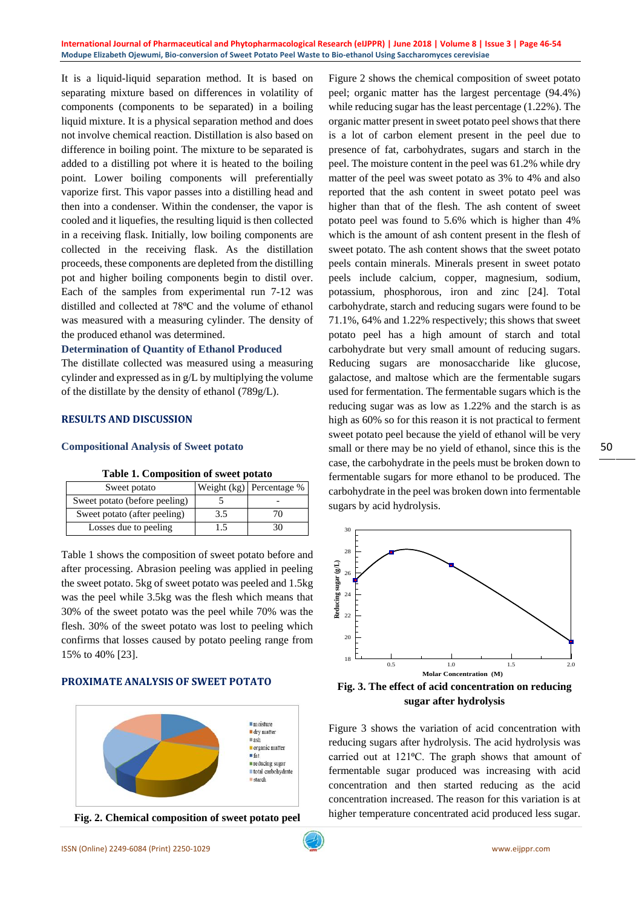It is a liquid-liquid separation method. It is based on separating mixture based on differences in volatility of components (components to be separated) in a boiling liquid mixture. It is a physical separation method and does not involve chemical reaction. Distillation is also based on difference in boiling point. The mixture to be separated is added to a distilling pot where it is heated to the boiling point. Lower boiling components will preferentially vaporize first. This vapor passes into a distilling head and then into a condenser. Within the condenser, the vapor is cooled and it liquefies, the resulting liquid is then collected in a receiving flask. Initially, low boiling components are collected in the receiving flask. As the distillation proceeds, these components are depleted from the distilling pot and higher boiling components begin to distil over. Each of the samples from experimental run 7-12 was distilled and collected at 78°C and the volume of ethanol was measured with a measuring cylinder. The density of the produced ethanol was determined.

## **Determination of Quantity of Ethanol Produced**

The distillate collected was measured using a measuring cylinder and expressed as in g/L by multiplying the volume of the distillate by the density of ethanol (789g/L).

## **RESULTS AND DISCUSSION**

## **Compositional Analysis of Sweet potato**

| Sweet potato                  |     | Weight $(kg)$ Percentage % |  |
|-------------------------------|-----|----------------------------|--|
| Sweet potato (before peeling) |     |                            |  |
| Sweet potato (after peeling)  | 3.5 |                            |  |
| Losses due to peeling         |     |                            |  |

| Table 1. Composition of sweet potato |  |  |  |  |  |
|--------------------------------------|--|--|--|--|--|
|--------------------------------------|--|--|--|--|--|

Table 1 shows the composition of sweet potato before and after processing. Abrasion peeling was applied in peeling the sweet potato. 5kg of sweet potato was peeled and 1.5kg was the peel while 3.5kg was the flesh which means that 30% of the sweet potato was the peel while 70% was the flesh. 30% of the sweet potato was lost to peeling which confirms that losses caused by potato peeling range from 15% to 40% [23].

## **PROXIMATE ANALYSIS OF SWEET POTATO**





Figure 2 shows the chemical composition of sweet potato peel; organic matter has the largest percentage (94.4%) while reducing sugar has the least percentage (1.22%). The organic matter present in sweet potato peel shows that there is a lot of carbon element present in the peel due to presence of fat, carbohydrates, sugars and starch in the peel. The moisture content in the peel was 61.2% while dry matter of the peel was sweet potato as 3% to 4% and also reported that the ash content in sweet potato peel was higher than that of the flesh. The ash content of sweet potato peel was found to 5.6% which is higher than 4% which is the amount of ash content present in the flesh of sweet potato. The ash content shows that the sweet potato peels contain minerals. Minerals present in sweet potato peels include calcium, copper, magnesium, sodium, potassium, phosphorous, iron and zinc [24]. Total carbohydrate, starch and reducing sugars were found to be 71.1%, 64% and 1.22% respectively; this shows that sweet potato peel has a high amount of starch and total carbohydrate but very small amount of reducing sugars. Reducing sugars are monosaccharide like glucose, galactose, and maltose which are the fermentable sugars used for fermentation. The fermentable sugars which is the reducing sugar was as low as 1.22% and the starch is as high as 60% so for this reason it is not practical to ferment sweet potato peel because the yield of ethanol will be very small or there may be no yield of ethanol, since this is the case, the carbohydrate in the peels must be broken down to fermentable sugars for more ethanol to be produced. The carbohydrate in the peel was broken down into fermentable sugars by acid hydrolysis.



**sugar after hydrolysis**

Figure 3 shows the variation of acid concentration with reducing sugars after hydrolysis. The acid hydrolysis was carried out at 121°C. The graph shows that amount of fermentable sugar produced was increasing with acid concentration and then started reducing as the acid concentration increased. The reason for this variation is at higher temperature concentrated acid produced less sugar.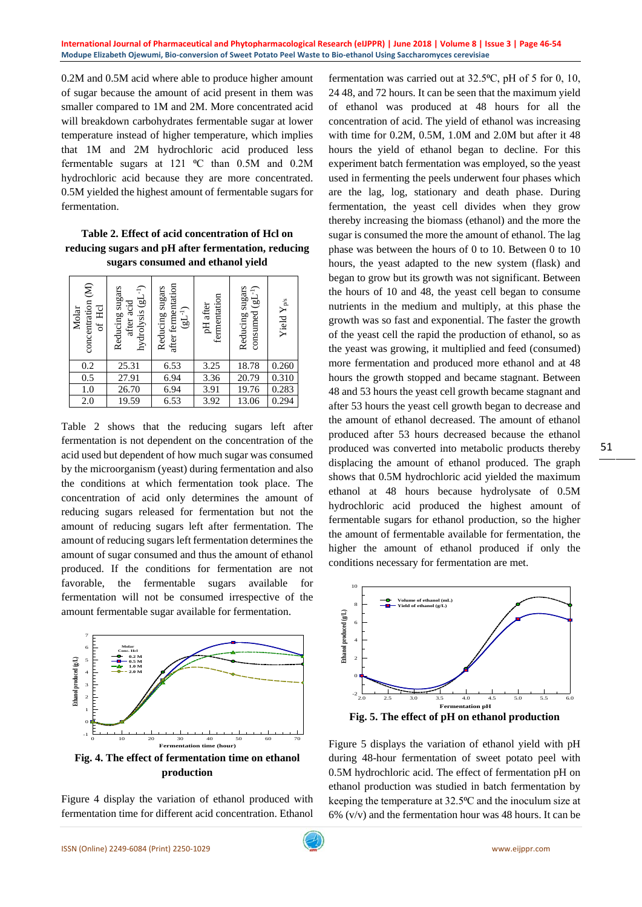0.2M and 0.5M acid where able to produce higher amount of sugar because the amount of acid present in them was smaller compared to 1M and 2M. More concentrated acid will breakdown carbohydrates fermentable sugar at lower temperature instead of higher temperature, which implies that 1M and 2M hydrochloric acid produced less fermentable sugars at 121  $^{\circ}$ C than 0.5M and 0.2M hydrochloric acid because they are more concentrated. 0.5M yielded the highest amount of fermentable sugars for fermentation.

## **Table 2. Effect of acid concentration of Hcl on reducing sugars and pH after fermentation, reducing sugars consumed and ethanol yield**

| concentration (M)<br>of Hel<br>Molar | hydrolysis $(gL^{-1})$<br>Reducing sugars<br>after acid | after fermentation<br>Reducing sugars<br>$(EL^{-1})$ | fermentation<br>pH after | consumed $(gL^{-1})$<br>Reducing sugars | Yield $\mathbf{Y}_{\text{p/s}}$ |
|--------------------------------------|---------------------------------------------------------|------------------------------------------------------|--------------------------|-----------------------------------------|---------------------------------|
| 0.2                                  | 25.31                                                   | 6.53                                                 | 3.25                     | 18.78                                   | 0.260                           |
| $\overline{0.5}$                     | 27.91                                                   | 6.94                                                 | 3.36                     | 20.79                                   | 0.310                           |
| 1.0                                  | 26.70                                                   | 6.94                                                 | 3.91                     | 19.76                                   | 0.283                           |
| 2.0                                  | 19.59                                                   | 6.53                                                 | 3.92                     | 13.06                                   | 0.294                           |

Table 2 shows that the reducing sugars left after fermentation is not dependent on the concentration of the acid used but dependent of how much sugar was consumed by the microorganism (yeast) during fermentation and also the conditions at which fermentation took place. The concentration of acid only determines the amount of reducing sugars released for fermentation but not the amount of reducing sugars left after fermentation. The amount of reducing sugars left fermentation determines the amount of sugar consumed and thus the amount of ethanol produced. If the conditions for fermentation are not favorable, the fermentable sugars available for fermentation will not be consumed irrespective of the amount fermentable sugar available for fermentation.



Figure 4 display the variation of ethanol produced with fermentation time for different acid concentration. Ethanol

fermentation was carried out at  $32.5$ °C, pH of 5 for 0, 10, 24 48, and 72 hours. It can be seen that the maximum yield of ethanol was produced at 48 hours for all the concentration of acid. The yield of ethanol was increasing with time for 0.2M, 0.5M, 1.0M and 2.0M but after it 48 hours the yield of ethanol began to decline. For this experiment batch fermentation was employed, so the yeast used in fermenting the peels underwent four phases which are the lag, log, stationary and death phase. During fermentation, the yeast cell divides when they grow thereby increasing the biomass (ethanol) and the more the sugar is consumed the more the amount of ethanol. The lag phase was between the hours of 0 to 10. Between 0 to 10 hours, the yeast adapted to the new system (flask) and began to grow but its growth was not significant. Between the hours of 10 and 48, the yeast cell began to consume nutrients in the medium and multiply, at this phase the growth was so fast and exponential. The faster the growth of the yeast cell the rapid the production of ethanol, so as the yeast was growing, it multiplied and feed (consumed) more fermentation and produced more ethanol and at 48 hours the growth stopped and became stagnant. Between 48 and 53 hours the yeast cell growth became stagnant and after 53 hours the yeast cell growth began to decrease and the amount of ethanol decreased. The amount of ethanol produced after 53 hours decreased because the ethanol produced was converted into metabolic products thereby displacing the amount of ethanol produced. The graph shows that 0.5M hydrochloric acid yielded the maximum ethanol at 48 hours because hydrolysate of 0.5M hydrochloric acid produced the highest amount of fermentable sugars for ethanol production, so the higher the amount of fermentable available for fermentation, the higher the amount of ethanol produced if only the conditions necessary for fermentation are met.



Figure 5 displays the variation of ethanol yield with pH during 48-hour fermentation of sweet potato peel with 0.5M hydrochloric acid. The effect of fermentation pH on ethanol production was studied in batch fermentation by keeping the temperature at 32.5<sup>o</sup>C and the inoculum size at  $6\%$  (v/v) and the fermentation hour was 48 hours. It can be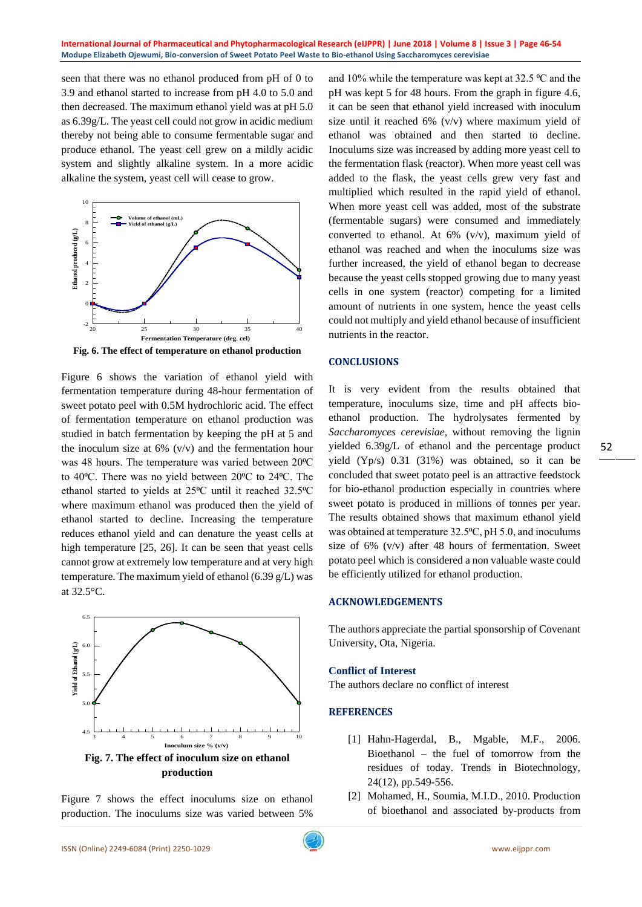seen that there was no ethanol produced from pH of 0 to 3.9 and ethanol started to increase from pH 4.0 to 5.0 and then decreased. The maximum ethanol yield was at pH 5.0 as 6.39g/L. The yeast cell could not grow in acidic medium thereby not being able to consume fermentable sugar and produce ethanol. The yeast cell grew on a mildly acidic system and slightly alkaline system. In a more acidic alkaline the system, yeast cell will cease to grow.



**Fig. 6. The effect of temperature on ethanol production**

Figure 6 shows the variation of ethanol yield with fermentation temperature during 48-hour fermentation of sweet potato peel with 0.5M hydrochloric acid. The effect of fermentation temperature on ethanol production was studied in batch fermentation by keeping the pH at 5 and the inoculum size at  $6\%$  (v/v) and the fermentation hour was 48 hours. The temperature was varied between 20°C to 40°C. There was no yield between 20°C to 24°C. The ethanol started to yields at 25°C until it reached 32.5°C where maximum ethanol was produced then the yield of ethanol started to decline. Increasing the temperature reduces ethanol yield and can denature the yeast cells at high temperature [25, 26]. It can be seen that yeast cells cannot grow at extremely low temperature and at very high temperature. The maximum yield of ethanol (6.39 g/L) was at 32.5°C.



Figure 7 shows the effect inoculums size on ethanol production. The inoculums size was varied between 5%

and 10% while the temperature was kept at  $32.5 \text{ °C}$  and the pH was kept 5 for 48 hours. From the graph in figure 4.6, it can be seen that ethanol yield increased with inoculum size until it reached 6% (v/v) where maximum yield of ethanol was obtained and then started to decline. Inoculums size was increased by adding more yeast cell to the fermentation flask (reactor). When more yeast cell was added to the flask, the yeast cells grew very fast and multiplied which resulted in the rapid yield of ethanol. When more yeast cell was added, most of the substrate (fermentable sugars) were consumed and immediately converted to ethanol. At 6% (v/v), maximum yield of ethanol was reached and when the inoculums size was further increased, the yield of ethanol began to decrease because the yeast cells stopped growing due to many yeast cells in one system (reactor) competing for a limited amount of nutrients in one system, hence the yeast cells could not multiply and yield ethanol because of insufficient nutrients in the reactor.

## **CONCLUSIONS**

It is very evident from the results obtained that temperature, inoculums size, time and pH affects bioethanol production. The hydrolysates fermented by *Saccharomyces cerevisiae,* without removing the lignin yielded 6.39g/L of ethanol and the percentage product yield (Yp/s) 0.31 (31%) was obtained, so it can be concluded that sweet potato peel is an attractive feedstock for bio-ethanol production especially in countries where sweet potato is produced in millions of tonnes per year. The results obtained shows that maximum ethanol yield was obtained at temperature 32.5°C, pH 5.0, and inoculums size of 6% (v/v) after 48 hours of fermentation. Sweet potato peel which is considered a non valuable waste could be efficiently utilized for ethanol production.

## **ACKNOWLEDGEMENTS**

The authors appreciate the partial sponsorship of Covenant University, Ota, Nigeria.

## **Conflict of Interest**

The authors declare no conflict of interest

## **REFERENCES**

- [1] Hahn-Hagerdal, B., Mgable, M.F., 2006. Bioethanol – the fuel of tomorrow from the residues of today. Trends in Biotechnology, 24(12), pp.549-556.
- [2] Mohamed, H., Soumia, M.I.D., 2010. Production of bioethanol and associated by-products from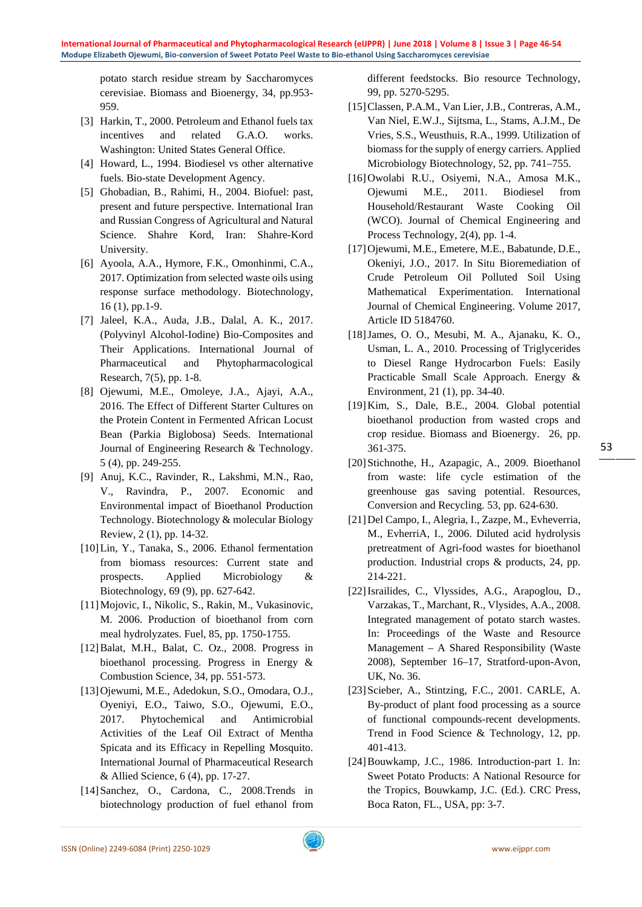potato starch residue stream by Saccharomyces cerevisiae. Biomass and Bioenergy, 34, pp.953- 959.

- [3] Harkin, T., 2000. Petroleum and Ethanol fuels tax incentives and related G.A.O. works. Washington: United States General Office.
- [4] Howard, L., 1994. Biodiesel vs other alternative fuels. Bio-state Development Agency.
- [5] Ghobadian, B., Rahimi, H., 2004. Biofuel: past, present and future perspective. International Iran and Russian Congress of Agricultural and Natural Science. Shahre Kord, Iran: Shahre-Kord University.
- [6] Ayoola, A.A., Hymore, F.K., Omonhinmi, C.A., 2017. Optimization from selected waste oils using response surface methodology. Biotechnology, 16 (1), pp.1-9.
- [7] Jaleel, K.A., Auda, J.B., Dalal, A. K., 2017. (Polyvinyl Alcohol-Iodine) Bio-Composites and Their Applications. International Journal of Pharmaceutical and Phytopharmacological Research, 7(5), pp. 1-8.
- [8] Ojewumi, M.E., Omoleye, J.A., Ajayi, A.A., 2016. The Effect of Different Starter Cultures on the Protein Content in Fermented African Locust Bean (Parkia Biglobosa) Seeds. International Journal of Engineering Research & Technology. 5 (4), pp. 249-255.
- [9] Anuj, K.C., Ravinder, R., Lakshmi, M.N., Rao, V., Ravindra, P., 2007. Economic and Environmental impact of Bioethanol Production Technology. Biotechnology & molecular Biology Review, 2 (1), pp. 14-32.
- [10]Lin, Y., Tanaka, S., 2006. Ethanol fermentation from biomass resources: Current state and prospects. Applied Microbiology & Biotechnology, 69 (9), pp. 627-642.
- [11]Mojovic, I., Nikolic, S., Rakin, M., Vukasinovic, M. 2006. Production of bioethanol from corn meal hydrolyzates. Fuel, 85, pp. 1750-1755.
- [12]Balat, M.H., Balat, C. Oz., 2008. Progress in bioethanol processing. Progress in Energy & Combustion Science, 34, pp. 551-573.
- [13]Ojewumi, M.E., Adedokun, S.O., Omodara, O.J., Oyeniyi, E.O., Taiwo, S.O., Ojewumi, E.O., 2017. Phytochemical and Antimicrobial Activities of the Leaf Oil Extract of Mentha Spicata and its Efficacy in Repelling Mosquito. International Journal of Pharmaceutical Research & Allied Science, 6 (4), pp. 17-27.
- [14]Sanchez, O., Cardona, C., 2008.Trends in biotechnology production of fuel ethanol from

different feedstocks. Bio resource Technology, 99, pp. 5270-5295.

- [15]Classen, P.A.M., Van Lier, J.B., Contreras, A.M., Van Niel, E.W.J., Sijtsma, L., Stams, A.J.M., De Vries, S.S., Weusthuis, R.A., 1999. Utilization of biomass for the supply of energy carriers. Applied Microbiology Biotechnology, 52, pp. 741–755.
- [16]Owolabi R.U., Osiyemi, N.A., Amosa M.K., Ojewumi M.E., 2011. Biodiesel from Household/Restaurant Waste Cooking Oil (WCO). Journal of Chemical Engineering and Process Technology, 2(4), pp. 1-4.
- [17]Ojewumi, M.E., Emetere, M.E., Babatunde, D.E., Okeniyi, J.O., 2017. In Situ Bioremediation of Crude Petroleum Oil Polluted Soil Using Mathematical Experimentation. International Journal of Chemical Engineering. Volume 2017, Article ID 5184760.
- [18]James, O. O., Mesubi, M. A., Ajanaku, K. O., Usman, L. A., 2010. Processing of Triglycerides to Diesel Range Hydrocarbon Fuels: Easily Practicable Small Scale Approach. Energy & Environment, 21 (1), pp. 34-40.
- [19]Kim, S., Dale, B.E., 2004. Global potential bioethanol production from wasted crops and crop residue. Biomass and Bioenergy. 26, pp. 361-375.
- [20]Stichnothe, H., Azapagic, A., 2009. Bioethanol from waste: life cycle estimation of the greenhouse gas saving potential. Resources, Conversion and Recycling. 53, pp. 624-630.
- [21]Del Campo, I., Alegria, I., Zazpe, M., Evheverria, M., EvherriA, I., 2006. Diluted acid hydrolysis pretreatment of Agri-food wastes for bioethanol production. Industrial crops & products, 24, pp. 214-221.
- [22]Israilides, C., Vlyssides, A.G., Arapoglou, D., Varzakas, T., Marchant, R., Vlysides, A.A., 2008. Integrated management of potato starch wastes. In: Proceedings of the Waste and Resource Management – A Shared Responsibility (Waste 2008), September 16–17, Stratford-upon-Avon, UK, No. 36.
- [23] Scieber, A., Stintzing, F.C., 2001. CARLE, A. By-product of plant food processing as a source of functional compounds-recent developments. Trend in Food Science & Technology, 12, pp. 401-413.
- [24] Bouwkamp, J.C., 1986. Introduction-part 1. In: Sweet Potato Products: A National Resource for the Tropics, Bouwkamp, J.C. (Ed.). CRC Press, Boca Raton, FL., USA, pp: 3-7.